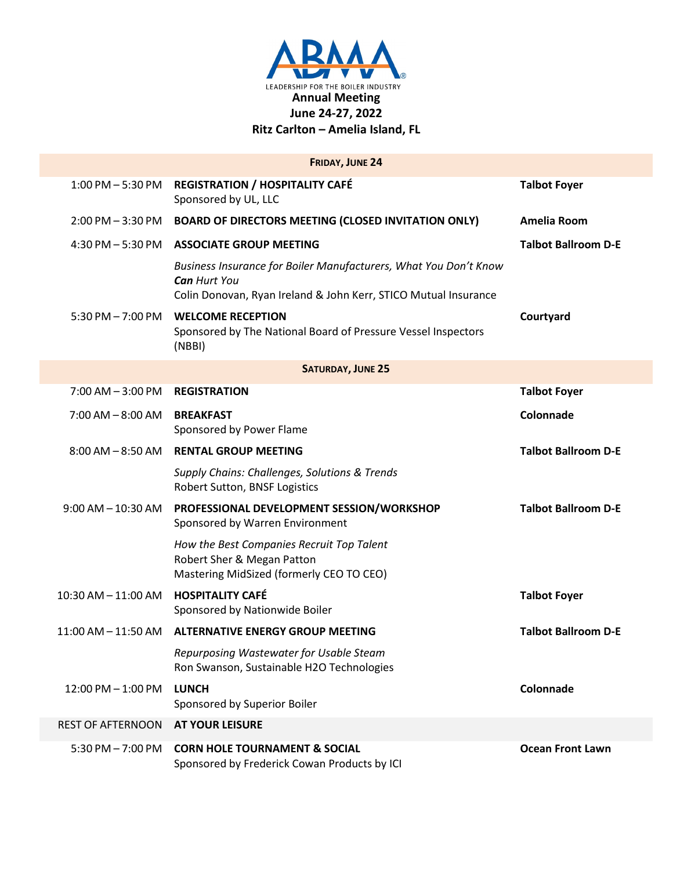

|                          | <b>FRIDAY, JUNE 24</b>                                                                                                                                     |                            |  |  |
|--------------------------|------------------------------------------------------------------------------------------------------------------------------------------------------------|----------------------------|--|--|
|                          | 1:00 PM - 5:30 PM REGISTRATION / HOSPITALITY CAFÉ<br>Sponsored by UL, LLC                                                                                  | <b>Talbot Foyer</b>        |  |  |
|                          | 2:00 PM - 3:30 PM BOARD OF DIRECTORS MEETING (CLOSED INVITATION ONLY)                                                                                      | Amelia Room                |  |  |
| $4:30$ PM $-5:30$ PM     | <b>ASSOCIATE GROUP MEETING</b>                                                                                                                             | <b>Talbot Ballroom D-E</b> |  |  |
|                          | Business Insurance for Boiler Manufacturers, What You Don't Know<br><b>Can Hurt You</b><br>Colin Donovan, Ryan Ireland & John Kerr, STICO Mutual Insurance |                            |  |  |
| $5:30$ PM $- 7:00$ PM    | <b>WELCOME RECEPTION</b><br>Sponsored by The National Board of Pressure Vessel Inspectors<br>(NBBI)                                                        | Courtyard                  |  |  |
| <b>SATURDAY, JUNE 25</b> |                                                                                                                                                            |                            |  |  |
| $7:00$ AM $-3:00$ PM     | <b>REGISTRATION</b>                                                                                                                                        | <b>Talbot Foyer</b>        |  |  |
| $7:00$ AM $-8:00$ AM     | <b>BREAKFAST</b><br>Sponsored by Power Flame                                                                                                               | Colonnade                  |  |  |
| $8:00$ AM $-8:50$ AM     | <b>RENTAL GROUP MEETING</b>                                                                                                                                | <b>Talbot Ballroom D-E</b> |  |  |
|                          | Supply Chains: Challenges, Solutions & Trends<br>Robert Sutton, BNSF Logistics                                                                             |                            |  |  |
| $9:00$ AM $-10:30$ AM    | PROFESSIONAL DEVELOPMENT SESSION/WORKSHOP<br>Sponsored by Warren Environment                                                                               | <b>Talbot Ballroom D-E</b> |  |  |
|                          | How the Best Companies Recruit Top Talent<br>Robert Sher & Megan Patton<br>Mastering MidSized (formerly CEO TO CEO)                                        |                            |  |  |
| $10:30$ AM $- 11:00$ AM  | <b>HOSPITALITY CAFÉ</b><br>Sponsored by Nationwide Boiler                                                                                                  | <b>Talbot Foyer</b>        |  |  |
| $11:00$ AM $- 11:50$ AM  | <b>ALTERNATIVE ENERGY GROUP MEETING</b>                                                                                                                    | <b>Talbot Ballroom D-E</b> |  |  |
|                          | Repurposing Wastewater for Usable Steam<br>Ron Swanson, Sustainable H2O Technologies                                                                       |                            |  |  |
| $12:00$ PM $-1:00$ PM    | <b>LUNCH</b><br>Sponsored by Superior Boiler                                                                                                               | Colonnade                  |  |  |
| <b>REST OF AFTERNOON</b> | <b>AT YOUR LEISURE</b>                                                                                                                                     |                            |  |  |
|                          | 5:30 PM - 7:00 PM CORN HOLE TOURNAMENT & SOCIAL<br>Sponsored by Frederick Cowan Products by ICI                                                            | <b>Ocean Front Lawn</b>    |  |  |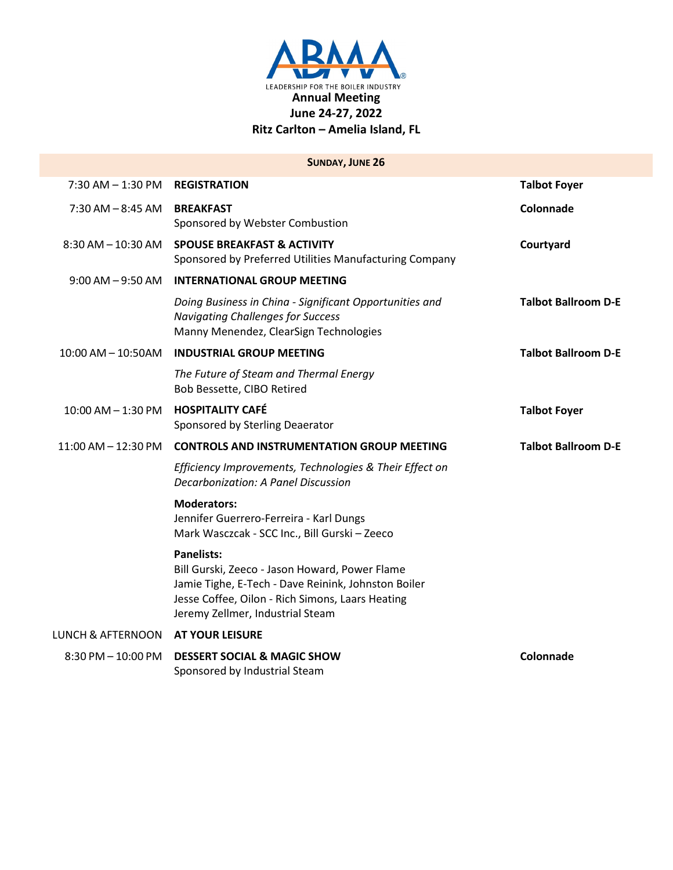

|                              | <b>SUNDAY, JUNE 26</b>                                                                                                                                                                                             |                            |
|------------------------------|--------------------------------------------------------------------------------------------------------------------------------------------------------------------------------------------------------------------|----------------------------|
| $7:30$ AM $- 1:30$ PM        | <b>REGISTRATION</b>                                                                                                                                                                                                | <b>Talbot Foyer</b>        |
| $7:30$ AM $-$ 8:45 AM        | <b>BREAKFAST</b><br>Sponsored by Webster Combustion                                                                                                                                                                | Colonnade                  |
|                              | 8:30 AM - 10:30 AM SPOUSE BREAKFAST & ACTIVITY<br>Sponsored by Preferred Utilities Manufacturing Company                                                                                                           | Courtyard                  |
| $9:00$ AM $-9:50$ AM         | <b>INTERNATIONAL GROUP MEETING</b>                                                                                                                                                                                 |                            |
|                              | Doing Business in China - Significant Opportunities and<br><b>Navigating Challenges for Success</b><br>Manny Menendez, ClearSign Technologies                                                                      | <b>Talbot Ballroom D-E</b> |
| $10:00$ AM $- 10:50$ AM      | <b>INDUSTRIAL GROUP MEETING</b>                                                                                                                                                                                    | <b>Talbot Ballroom D-E</b> |
|                              | The Future of Steam and Thermal Energy<br>Bob Bessette, CIBO Retired                                                                                                                                               |                            |
| 10:00 AM - 1:30 PM           | <b>HOSPITALITY CAFÉ</b><br>Sponsored by Sterling Deaerator                                                                                                                                                         | <b>Talbot Foyer</b>        |
| $11:00$ AM $-12:30$ PM       | <b>CONTROLS AND INSTRUMENTATION GROUP MEETING</b>                                                                                                                                                                  | <b>Talbot Ballroom D-E</b> |
|                              | Efficiency Improvements, Technologies & Their Effect on<br>Decarbonization: A Panel Discussion                                                                                                                     |                            |
|                              | <b>Moderators:</b><br>Jennifer Guerrero-Ferreira - Karl Dungs<br>Mark Wasczcak - SCC Inc., Bill Gurski - Zeeco                                                                                                     |                            |
|                              | <b>Panelists:</b><br>Bill Gurski, Zeeco - Jason Howard, Power Flame<br>Jamie Tighe, E-Tech - Dave Reinink, Johnston Boiler<br>Jesse Coffee, Oilon - Rich Simons, Laars Heating<br>Jeremy Zellmer, Industrial Steam |                            |
| <b>LUNCH &amp; AFTERNOON</b> | <b>AT YOUR LEISURE</b>                                                                                                                                                                                             |                            |
| $8:30$ PM $-10:00$ PM        | <b>DESSERT SOCIAL &amp; MAGIC SHOW</b><br>Sponsored by Industrial Steam                                                                                                                                            | Colonnade                  |